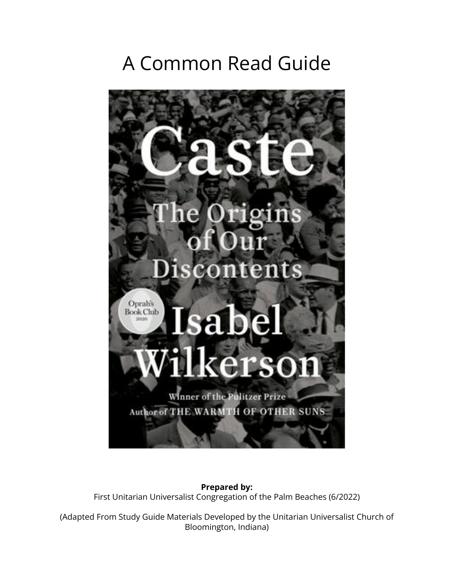# A Common Read Guide



**Prepared by:** First Unitarian Universalist Congregation of the Palm Beaches (6/2022)

(Adapted From Study Guide Materials Developed by the Unitarian Universalist Church of Bloomington, Indiana)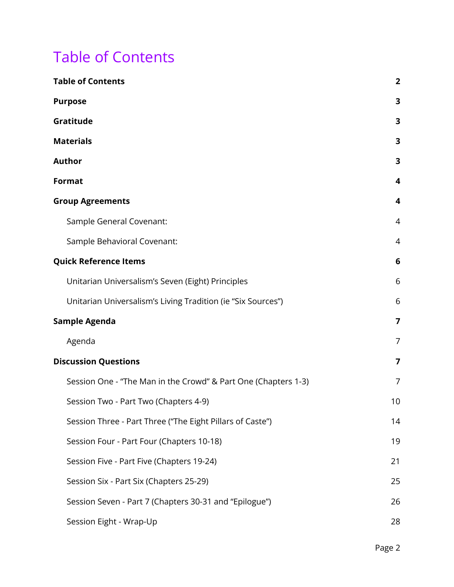## <span id="page-1-0"></span>Table of Contents

| <b>Table of Contents</b>                                       | $\overline{2}$          |
|----------------------------------------------------------------|-------------------------|
| <b>Purpose</b>                                                 | 3                       |
| Gratitude                                                      | 3                       |
| <b>Materials</b>                                               | 3                       |
| <b>Author</b>                                                  | 3                       |
| <b>Format</b>                                                  | $\overline{\mathbf{4}}$ |
| <b>Group Agreements</b>                                        | 4                       |
| Sample General Covenant:                                       | 4                       |
| Sample Behavioral Covenant:                                    | $\overline{4}$          |
| <b>Quick Reference Items</b>                                   | 6                       |
| Unitarian Universalism's Seven (Eight) Principles              | 6                       |
| Unitarian Universalism's Living Tradition (ie "Six Sources")   | 6                       |
| <b>Sample Agenda</b>                                           | $\overline{7}$          |
| Agenda                                                         | $\overline{7}$          |
| <b>Discussion Questions</b>                                    | 7                       |
| Session One - "The Man in the Crowd" & Part One (Chapters 1-3) | 7                       |
| Session Two - Part Two (Chapters 4-9)                          | 10                      |
| Session Three - Part Three ("The Eight Pillars of Caste")      | 14                      |
| Session Four - Part Four (Chapters 10-18)                      | 19                      |
| Session Five - Part Five (Chapters 19-24)                      | 21                      |
| Session Six - Part Six (Chapters 25-29)                        | 25                      |
| Session Seven - Part 7 (Chapters 30-31 and "Epilogue")         | 26                      |
| Session Eight - Wrap-Up                                        | 28                      |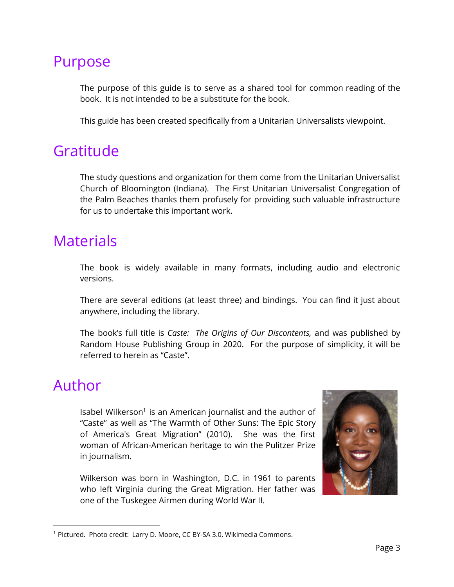### <span id="page-2-0"></span>Purpose

The purpose of this guide is to serve as a shared tool for common reading of the book. It is not intended to be a substitute for the book.

This guide has been created specifically from a Unitarian Universalists viewpoint.

## <span id="page-2-1"></span>Gratitude

The study questions and organization for them come from the Unitarian Universalist Church of Bloomington (Indiana). The First Unitarian Universalist Congregation of the Palm Beaches thanks them profusely for providing such valuable infrastructure for us to undertake this important work.

## <span id="page-2-2"></span>**Materials**

The book is widely available in many formats, including audio and electronic versions.

There are several editions (at least three) and bindings. You can find it just about anywhere, including the library.

The book's full title is *Caste: The Origins of Our Discontents,* and was published by Random House Publishing Group in 2020. For the purpose of simplicity, it will be referred to herein as "Caste".

## <span id="page-2-3"></span>Author

Isabel Wilkerson<sup>1</sup> is an American journalist and the author of "Caste" as well as "The Warmth of Other Suns: The Epic Story of America's Great Migration" (2010). She was the first woman of African-American heritage to win the Pulitzer Prize in journalism.

Wilkerson was born in Washington, D.C. in 1961 to parents who left Virginia during the Great Migration. Her father was one of the Tuskegee Airmen during World War II.



<sup>&</sup>lt;sup>1</sup> Pictured. Photo credit: Larry D. Moore, CC BY-SA 3.0, Wikimedia Commons.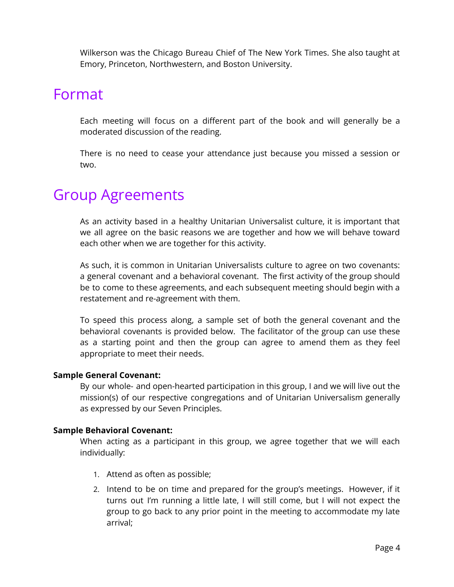Wilkerson was the Chicago Bureau Chief of The New York Times. She also taught at Emory, Princeton, Northwestern, and Boston University.

### <span id="page-3-0"></span>Format

Each meeting will focus on a different part of the book and will generally be a moderated discussion of the reading.

There is no need to cease your attendance just because you missed a session or two.

## <span id="page-3-1"></span>Group Agreements

As an activity based in a healthy Unitarian Universalist culture, it is important that we all agree on the basic reasons we are together and how we will behave toward each other when we are together for this activity.

As such, it is common in Unitarian Universalists culture to agree on two covenants: a general covenant and a behavioral covenant. The first activity of the group should be to come to these agreements, and each subsequent meeting should begin with a restatement and re-agreement with them.

To speed this process along, a sample set of both the general covenant and the behavioral covenants is provided below. The facilitator of the group can use these as a starting point and then the group can agree to amend them as they feel appropriate to meet their needs.

#### <span id="page-3-2"></span>**Sample General Covenant:**

By our whole- and open-hearted participation in this group, I and we will live out the mission(s) of our respective congregations and of Unitarian Universalism generally as expressed by our Seven Principles.

#### <span id="page-3-3"></span>**Sample Behavioral Covenant:**

When acting as a participant in this group, we agree together that we will each individually:

- 1. Attend as often as possible;
- 2. Intend to be on time and prepared for the group's meetings. However, if it turns out I'm running a little late, I will still come, but I will not expect the group to go back to any prior point in the meeting to accommodate my late arrival;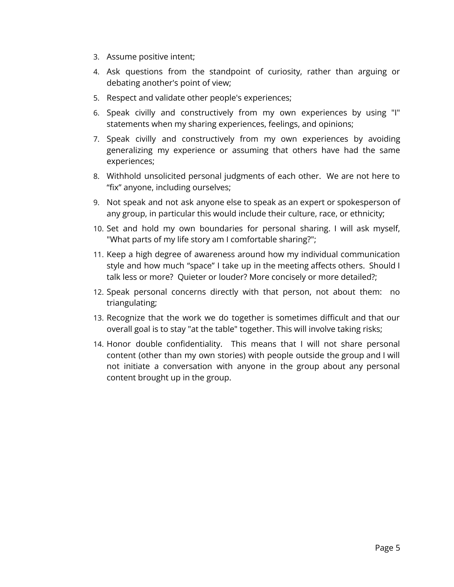- 3. Assume positive intent;
- 4. Ask questions from the standpoint of curiosity, rather than arguing or debating another's point of view;
- 5. Respect and validate other people's experiences;
- 6. Speak civilly and constructively from my own experiences by using "I" statements when my sharing experiences, feelings, and opinions;
- 7. Speak civilly and constructively from my own experiences by avoiding generalizing my experience or assuming that others have had the same experiences;
- 8. Withhold unsolicited personal judgments of each other. We are not here to "fix" anyone, including ourselves;
- 9. Not speak and not ask anyone else to speak as an expert or spokesperson of any group, in particular this would include their culture, race, or ethnicity;
- 10. Set and hold my own boundaries for personal sharing. I will ask myself, "What parts of my life story am I comfortable sharing?";
- 11. Keep a high degree of awareness around how my individual communication style and how much "space" I take up in the meeting affects others. Should I talk less or more? Quieter or louder? More concisely or more detailed?;
- 12. Speak personal concerns directly with that person, not about them: no triangulating;
- 13. Recognize that the work we do together is sometimes difficult and that our overall goal is to stay "at the table" together. This will involve taking risks;
- 14. Honor double confidentiality. This means that I will not share personal content (other than my own stories) with people outside the group and I will not initiate a conversation with anyone in the group about any personal content brought up in the group.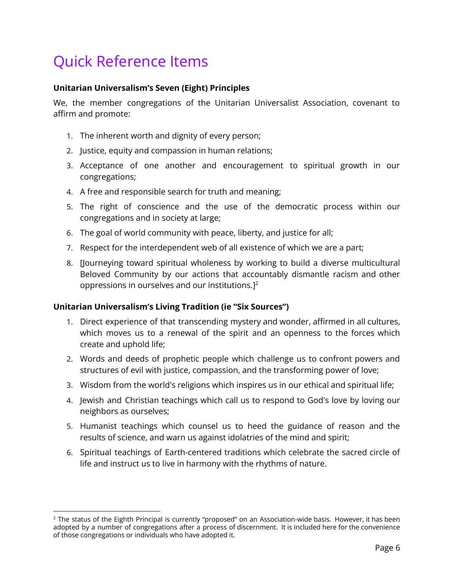## <span id="page-5-0"></span>Quick Reference Items

#### <span id="page-5-1"></span>**Unitarian Universalism's Seven (Eight) Principles**

We, the member congregations of the Unitarian Universalist Association, covenant to affirm and promote:

- 1. The inherent worth and dignity of every person;
- 2. Justice, equity and compassion in human relations;
- 3. Acceptance of one another and encouragement to spiritual growth in our congregations;
- 4. A free and responsible search for truth and meaning;
- 5. The right of conscience and the use of the democratic process within our congregations and in society at large;
- 6. The goal of world community with peace, liberty, and justice for all;
- 7. Respect for the interdependent web of all existence of which we are a part;
- 8. [Journeying toward spiritual wholeness by working to build a diverse multicultural Beloved Community by our actions that accountably dismantle racism and other oppressions in ourselves and our institutions.] $<sup>2</sup>$ </sup>

#### <span id="page-5-2"></span>**Unitarian Universalism's Living Tradition (ie "Six Sources")**

- 1. Direct experience of that transcending mystery and wonder, affirmed in all cultures, which moves us to a renewal of the spirit and an openness to the forces which create and uphold life;
- 2. Words and deeds of prophetic people which challenge us to confront powers and structures of evil with justice, compassion, and the transforming power of love;
- 3. Wisdom from the world's religions which inspires us in our ethical and spiritual life;
- 4. Jewish and Christian teachings which call us to respond to God's love by loving our neighbors as ourselves;
- 5. Humanist teachings which counsel us to heed the guidance of reason and the results of science, and warn us against idolatries of the mind and spirit;
- 6. Spiritual teachings of Earth-centered traditions which celebrate the sacred circle of life and instruct us to live in harmony with the rhythms of nature.

<sup>&</sup>lt;sup>2</sup> The status of the Eighth Principal is currently "proposed" on an Association-wide basis. However, it has been adopted by a number of congregations after a process of discernment. It is included here for the convenience of those congregations or individuals who have adopted it.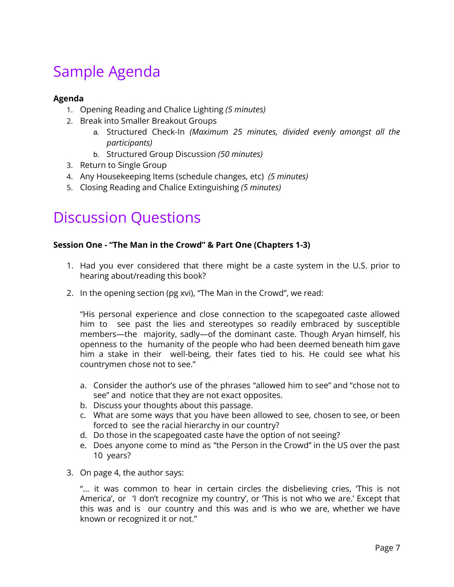## <span id="page-6-0"></span>Sample Agenda

#### <span id="page-6-1"></span>**Agenda**

- 1. Opening Reading and Chalice Lighting *(5 minutes)*
- 2. Break into Smaller Breakout Groups
	- a. Structured Check-In *(Maximum 25 minutes, divided evenly amongst all the participants)*
	- b. Structured Group Discussion *(50 minutes)*
- 3. Return to Single Group
- 4. Any Housekeeping Items (schedule changes, etc) *(5 minutes)*
- 5. Closing Reading and Chalice Extinguishing *(5 minutes)*

## <span id="page-6-2"></span>Discussion Questions

#### <span id="page-6-3"></span>**Session One - "The Man in the Crowd" & Part One (Chapters 1-3)**

- 1. Had you ever considered that there might be a caste system in the U.S. prior to hearing about/reading this book?
- 2. In the opening section (pg xvi), "The Man in the Crowd", we read:

"His personal experience and close connection to the scapegoated caste allowed him to see past the lies and stereotypes so readily embraced by susceptible members—the majority, sadly—of the dominant caste. Though Aryan himself, his openness to the humanity of the people who had been deemed beneath him gave him a stake in their well-being, their fates tied to his. He could see what his countrymen chose not to see."

- a. Consider the author's use of the phrases "allowed him to see" and "chose not to see" and notice that they are not exact opposites.
- b. Discuss your thoughts about this passage.
- c. What are some ways that you have been allowed to see, chosen to see, or been forced to see the racial hierarchy in our country?
- d. Do those in the scapegoated caste have the option of not seeing?
- e. Does anyone come to mind as "the Person in the Crowd" in the US over the past 10 years?
- 3. On page 4, the author says:

"… it was common to hear in certain circles the disbelieving cries, 'This is not America', or 'I don't recognize my country', or 'This is not who we are.' Except that this was and is our country and this was and is who we are, whether we have known or recognized it or not."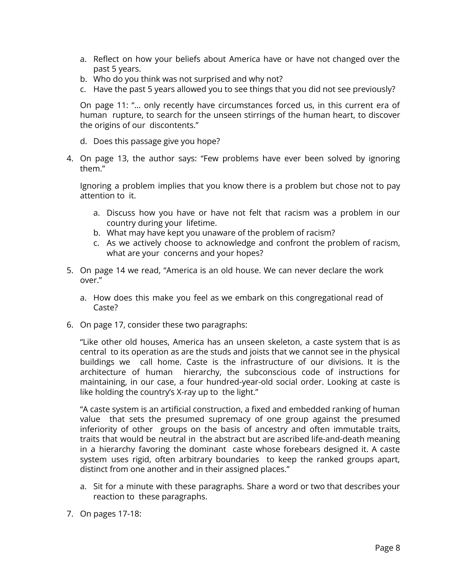- a. Reflect on how your beliefs about America have or have not changed over the past 5 years.
- b. Who do you think was not surprised and why not?
- c. Have the past 5 years allowed you to see things that you did not see previously?

On page 11: "… only recently have circumstances forced us, in this current era of human rupture, to search for the unseen stirrings of the human heart, to discover the origins of our discontents."

- d. Does this passage give you hope?
- 4. On page 13, the author says: "Few problems have ever been solved by ignoring them."

Ignoring a problem implies that you know there is a problem but chose not to pay attention to it.

- a. Discuss how you have or have not felt that racism was a problem in our country during your lifetime.
- b. What may have kept you unaware of the problem of racism?
- c. As we actively choose to acknowledge and confront the problem of racism, what are your concerns and your hopes?
- 5. On page 14 we read, "America is an old house. We can never declare the work over."
	- a. How does this make you feel as we embark on this congregational read of Caste?
- 6. On page 17, consider these two paragraphs:

"Like other old houses, America has an unseen skeleton, a caste system that is as central to its operation as are the studs and joists that we cannot see in the physical buildings we call home. Caste is the infrastructure of our divisions. It is the architecture of human hierarchy, the subconscious code of instructions for maintaining, in our case, a four hundred-year-old social order. Looking at caste is like holding the country's X-ray up to the light."

"A caste system is an artificial construction, a fixed and embedded ranking of human value that sets the presumed supremacy of one group against the presumed inferiority of other groups on the basis of ancestry and often immutable traits, traits that would be neutral in the abstract but are ascribed life-and-death meaning in a hierarchy favoring the dominant caste whose forebears designed it. A caste system uses rigid, often arbitrary boundaries to keep the ranked groups apart, distinct from one another and in their assigned places."

- a. Sit for a minute with these paragraphs. Share a word or two that describes your reaction to these paragraphs.
- 7. On pages 17-18: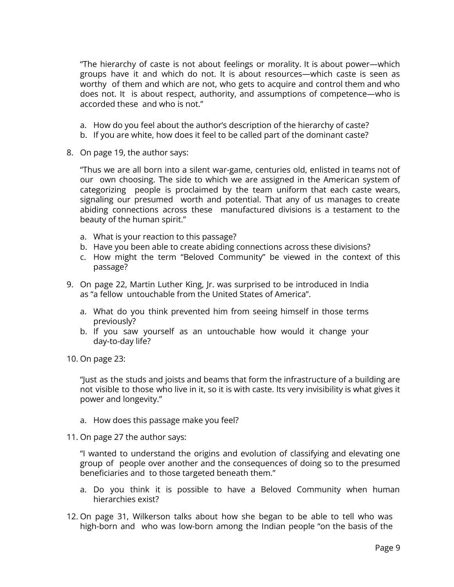"The hierarchy of caste is not about feelings or morality. It is about power—which groups have it and which do not. It is about resources—which caste is seen as worthy of them and which are not, who gets to acquire and control them and who does not. It is about respect, authority, and assumptions of competence—who is accorded these and who is not."

- a. How do you feel about the author's description of the hierarchy of caste?
- b. If you are white, how does it feel to be called part of the dominant caste?
- 8. On page 19, the author says:

"Thus we are all born into a silent war-game, centuries old, enlisted in teams not of our own choosing. The side to which we are assigned in the American system of categorizing people is proclaimed by the team uniform that each caste wears, signaling our presumed worth and potential. That any of us manages to create abiding connections across these manufactured divisions is a testament to the beauty of the human spirit."

- a. What is your reaction to this passage?
- b. Have you been able to create abiding connections across these divisions?
- c. How might the term "Beloved Community" be viewed in the context of this passage?
- 9. On page 22, Martin Luther King, Jr. was surprised to be introduced in India as "a fellow untouchable from the United States of America".
	- a. What do you think prevented him from seeing himself in those terms previously?
	- b. If you saw yourself as an untouchable how would it change your day-to-day life?
- 10. On page 23:

"Just as the studs and joists and beams that form the infrastructure of a building are not visible to those who live in it, so it is with caste. Its very invisibility is what gives it power and longevity."

- a. How does this passage make you feel?
- 11. On page 27 the author says:

"I wanted to understand the origins and evolution of classifying and elevating one group of people over another and the consequences of doing so to the presumed beneficiaries and to those targeted beneath them."

- a. Do you think it is possible to have a Beloved Community when human hierarchies exist?
- 12. On page 31, Wilkerson talks about how she began to be able to tell who was high-born and who was low-born among the Indian people "on the basis of the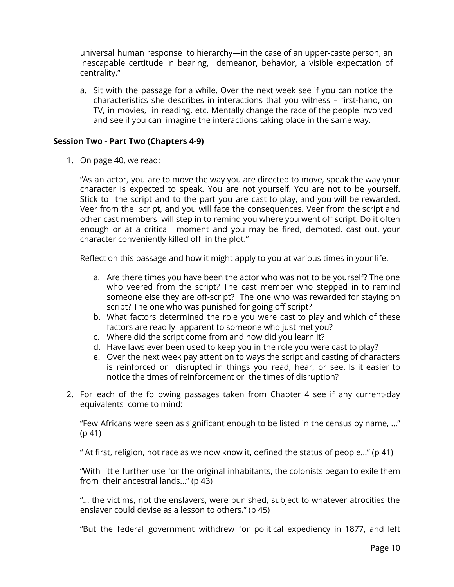universal human response to hierarchy—in the case of an upper-caste person, an inescapable certitude in bearing, demeanor, behavior, a visible expectation of centrality."

a. Sit with the passage for a while. Over the next week see if you can notice the characteristics she describes in interactions that you witness – first-hand, on TV, in movies, in reading, etc. Mentally change the race of the people involved and see if you can imagine the interactions taking place in the same way.

#### <span id="page-9-0"></span>**Session Two - Part Two (Chapters 4-9)**

1. On page 40, we read:

"As an actor, you are to move the way you are directed to move, speak the way your character is expected to speak. You are not yourself. You are not to be yourself. Stick to the script and to the part you are cast to play, and you will be rewarded. Veer from the script, and you will face the consequences. Veer from the script and other cast members will step in to remind you where you went off script. Do it often enough or at a critical moment and you may be fired, demoted, cast out, your character conveniently killed off in the plot."

Reflect on this passage and how it might apply to you at various times in your life.

- a. Are there times you have been the actor who was not to be yourself? The one who veered from the script? The cast member who stepped in to remind someone else they are off-script? The one who was rewarded for staying on script? The one who was punished for going off script?
- b. What factors determined the role you were cast to play and which of these factors are readily apparent to someone who just met you?
- c. Where did the script come from and how did you learn it?
- d. Have laws ever been used to keep you in the role you were cast to play?
- e. Over the next week pay attention to ways the script and casting of characters is reinforced or disrupted in things you read, hear, or see. Is it easier to notice the times of reinforcement or the times of disruption?
- 2. For each of the following passages taken from Chapter 4 see if any current-day equivalents come to mind:

"Few Africans were seen as significant enough to be listed in the census by name, …" (p 41)

" At first, religion, not race as we now know it, defined the status of people…" (p 41)

"With little further use for the original inhabitants, the colonists began to exile them from their ancestral lands…" (p 43)

"… the victims, not the enslavers, were punished, subject to whatever atrocities the enslaver could devise as a lesson to others." (p 45)

"But the federal government withdrew for political expediency in 1877, and left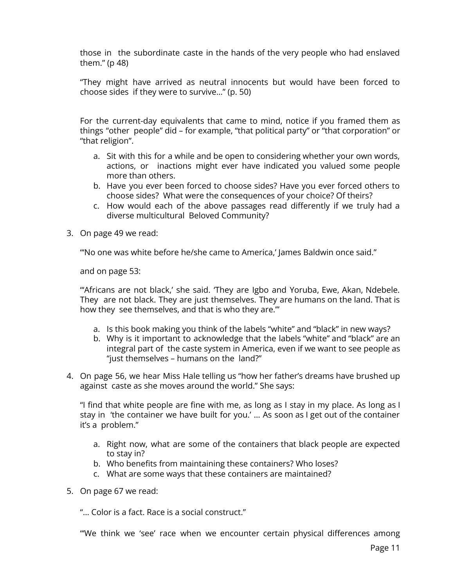those in the subordinate caste in the hands of the very people who had enslaved them." (p 48)

"They might have arrived as neutral innocents but would have been forced to choose sides if they were to survive…" (p. 50)

For the current-day equivalents that came to mind, notice if you framed them as things "other people" did – for example, "that political party" or "that corporation" or "that religion".

- a. Sit with this for a while and be open to considering whether your own words, actions, or inactions might ever have indicated you valued some people more than others.
- b. Have you ever been forced to choose sides? Have you ever forced others to choose sides? What were the consequences of your choice? Of theirs?
- c. How would each of the above passages read differently if we truly had a diverse multicultural Beloved Community?
- 3. On page 49 we read:

"'No one was white before he/she came to America,' James Baldwin once said."

and on page 53:

"'Africans are not black,' she said. 'They are Igbo and Yoruba, Ewe, Akan, Ndebele. They are not black. They are just themselves. They are humans on the land. That is how they see themselves, and that is who they are.'"

- a. Is this book making you think of the labels "white" and "black" in new ways?
- b. Why is it important to acknowledge that the labels "white" and "black" are an integral part of the caste system in America, even if we want to see people as "just themselves – humans on the land?"
- 4. On page 56, we hear Miss Hale telling us "how her father's dreams have brushed up against caste as she moves around the world." She says:

"I find that white people are fine with me, as long as I stay in my place. As long as I stay in 'the container we have built for you.' … As soon as I get out of the container it's a problem."

- a. Right now, what are some of the containers that black people are expected to stay in?
- b. Who benefits from maintaining these containers? Who loses?
- c. What are some ways that these containers are maintained?
- 5. On page 67 we read:

"… Color is a fact. Race is a social construct."

"'We think we 'see' race when we encounter certain physical differences among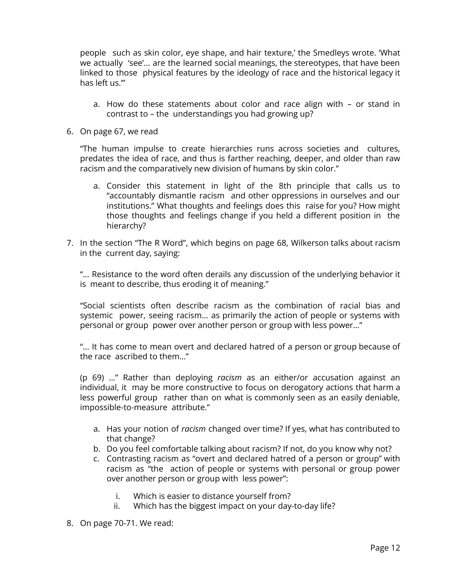people such as skin color, eye shape, and hair texture,' the Smedleys wrote. 'What we actually 'see'… are the learned social meanings, the stereotypes, that have been linked to those physical features by the ideology of race and the historical legacy it has left us.'"

- a. How do these statements about color and race align with or stand in contrast to – the understandings you had growing up?
- 6. On page 67, we read

"The human impulse to create hierarchies runs across societies and cultures, predates the idea of race, and thus is farther reaching, deeper, and older than raw racism and the comparatively new division of humans by skin color."

- a. Consider this statement in light of the 8th principle that calls us to "accountably dismantle racism and other oppressions in ourselves and our institutions." What thoughts and feelings does this raise for you? How might those thoughts and feelings change if you held a different position in the hierarchy?
- 7. In the section "The R Word", which begins on page 68, Wilkerson talks about racism in the current day, saying:

"… Resistance to the word often derails any discussion of the underlying behavior it is meant to describe, thus eroding it of meaning."

"Social scientists often describe racism as the combination of racial bias and systemic power, seeing racism… as primarily the action of people or systems with personal or group power over another person or group with less power…"

"… It has come to mean overt and declared hatred of a person or group because of the race ascribed to them…"

(p 69) …" Rather than deploying *racism* as an either/or accusation against an individual, it may be more constructive to focus on derogatory actions that harm a less powerful group rather than on what is commonly seen as an easily deniable, impossible-to-measure attribute."

- a. Has your notion of *racism* changed over time? If yes, what has contributed to that change?
- b. Do you feel comfortable talking about racism? If not, do you know why not?
- c. Contrasting racism as "overt and declared hatred of a person or group" with racism as "the action of people or systems with personal or group power over another person or group with less power":
	- i. Which is easier to distance yourself from?
	- ii. Which has the biggest impact on your day-to-day life?
- 8. On page 70-71. We read: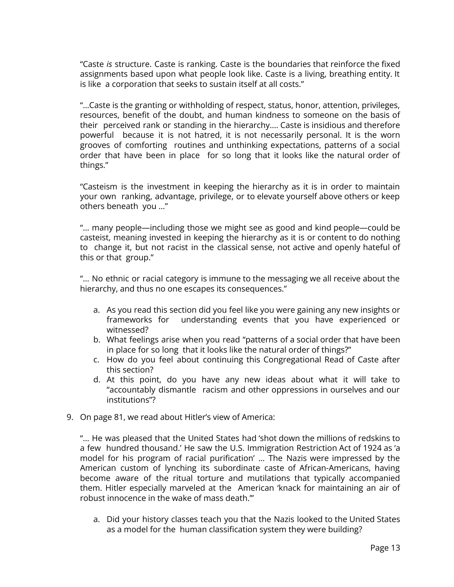"Caste *is* structure. Caste is ranking. Caste is the boundaries that reinforce the fixed assignments based upon what people look like. Caste is a living, breathing entity. It is like a corporation that seeks to sustain itself at all costs."

"…Caste is the granting or withholding of respect, status, honor, attention, privileges, resources, benefit of the doubt, and human kindness to someone on the basis of their perceived rank or standing in the hierarchy.… Caste is insidious and therefore powerful because it is not hatred, it is not necessarily personal. It is the worn grooves of comforting routines and unthinking expectations, patterns of a social order that have been in place for so long that it looks like the natural order of things."

"Casteism is the investment in keeping the hierarchy as it is in order to maintain your own ranking, advantage, privilege, or to elevate yourself above others or keep others beneath you …"

"… many people—including those we might see as good and kind people—could be casteist, meaning invested in keeping the hierarchy as it is or content to do nothing to change it, but not racist in the classical sense, not active and openly hateful of this or that group."

"… No ethnic or racial category is immune to the messaging we all receive about the hierarchy, and thus no one escapes its consequences."

- a. As you read this section did you feel like you were gaining any new insights or frameworks for understanding events that you have experienced or witnessed?
- b. What feelings arise when you read "patterns of a social order that have been in place for so long that it looks like the natural order of things?"
- c. How do you feel about continuing this Congregational Read of Caste after this section?
- d. At this point, do you have any new ideas about what it will take to "accountably dismantle racism and other oppressions in ourselves and our institutions"?
- 9. On page 81, we read about Hitler's view of America:

"… He was pleased that the United States had 'shot down the millions of redskins to a few hundred thousand.' He saw the U.S. Immigration Restriction Act of 1924 as 'a model for his program of racial purification' … The Nazis were impressed by the American custom of lynching its subordinate caste of African-Americans, having become aware of the ritual torture and mutilations that typically accompanied them. Hitler especially marveled at the American 'knack for maintaining an air of robust innocence in the wake of mass death.'"

a. Did your history classes teach you that the Nazis looked to the United States as a model for the human classification system they were building?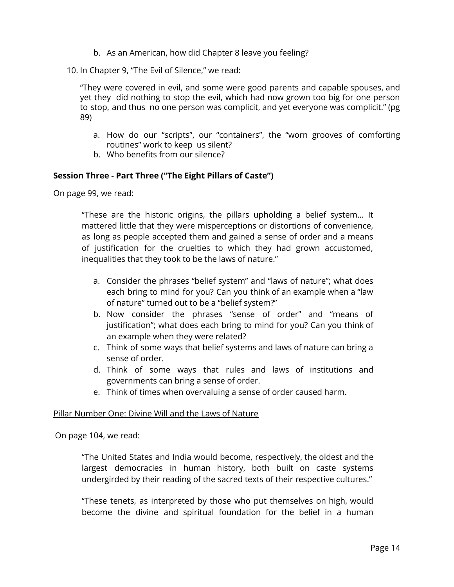- b. As an American, how did Chapter 8 leave you feeling?
- 10. In Chapter 9, "The Evil of Silence," we read:

"They were covered in evil, and some were good parents and capable spouses, and yet they did nothing to stop the evil, which had now grown too big for one person to stop, and thus no one person was complicit, and yet everyone was complicit." (pg 89)

- a. How do our "scripts", our "containers", the "worn grooves of comforting routines" work to keep us silent?
- b. Who benefits from our silence?

#### <span id="page-13-0"></span>**Session Three - Part Three ("The Eight Pillars of Caste")**

On page 99, we read:

"These are the historic origins, the pillars upholding a belief system... It mattered little that they were misperceptions or distortions of convenience, as long as people accepted them and gained a sense of order and a means of justification for the cruelties to which they had grown accustomed, inequalities that they took to be the laws of nature."

- a. Consider the phrases "belief system" and "laws of nature"; what does each bring to mind for you? Can you think of an example when a "law of nature" turned out to be a "belief system?"
- b. Now consider the phrases "sense of order" and "means of justification"; what does each bring to mind for you? Can you think of an example when they were related?
- c. Think of some ways that belief systems and laws of nature can bring a sense of order.
- d. Think of some ways that rules and laws of institutions and governments can bring a sense of order.
- e. Think of times when overvaluing a sense of order caused harm.

#### Pillar Number One: Divine Will and the Laws of Nature

On page 104, we read:

"The United States and India would become, respectively, the oldest and the largest democracies in human history, both built on caste systems undergirded by their reading of the sacred texts of their respective cultures."

"These tenets, as interpreted by those who put themselves on high, would become the divine and spiritual foundation for the belief in a human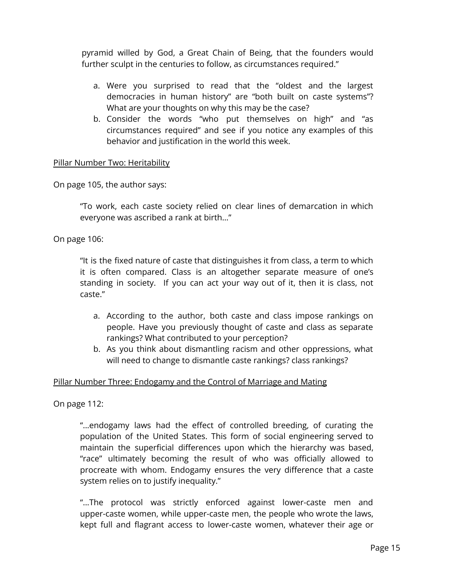pyramid willed by God, a Great Chain of Being, that the founders would further sculpt in the centuries to follow, as circumstances required."

- a. Were you surprised to read that the "oldest and the largest democracies in human history" are "both built on caste systems"? What are your thoughts on why this may be the case?
- b. Consider the words "who put themselves on high" and "as circumstances required" and see if you notice any examples of this behavior and justification in the world this week.

#### Pillar Number Two: Heritability

On page 105, the author says:

"To work, each caste society relied on clear lines of demarcation in which everyone was ascribed a rank at birth…"

On page 106:

"It is the fixed nature of caste that distinguishes it from class, a term to which it is often compared. Class is an altogether separate measure of one's standing in society. If you can act your way out of it, then it is class, not caste."

- a. According to the author, both caste and class impose rankings on people. Have you previously thought of caste and class as separate rankings? What contributed to your perception?
- b. As you think about dismantling racism and other oppressions, what will need to change to dismantle caste rankings? class rankings?

#### Pillar Number Three: Endogamy and the Control of Marriage and Mating

On page 112:

"...endogamy laws had the effect of controlled breeding, of curating the population of the United States. This form of social engineering served to maintain the superficial differences upon which the hierarchy was based, "race" ultimately becoming the result of who was officially allowed to procreate with whom. Endogamy ensures the very difference that a caste system relies on to justify inequality."

"...The protocol was strictly enforced against lower-caste men and upper-caste women, while upper-caste men, the people who wrote the laws, kept full and flagrant access to lower-caste women, whatever their age or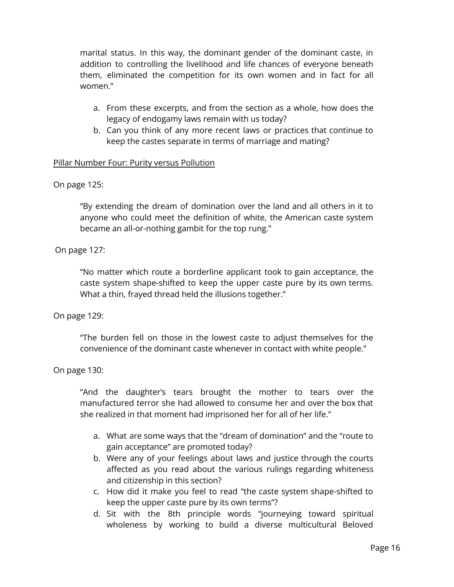marital status. In this way, the dominant gender of the dominant caste, in addition to controlling the livelihood and life chances of everyone beneath them, eliminated the competition for its own women and in fact for all women."

- a. From these excerpts, and from the section as a whole, how does the legacy of endogamy laws remain with us today?
- b. Can you think of any more recent laws or practices that continue to keep the castes separate in terms of marriage and mating?

#### Pillar Number Four: Purity versus Pollution

#### On page 125:

"By extending the dream of domination over the land and all others in it to anyone who could meet the definition of white, the American caste system became an all-or-nothing gambit for the top rung."

#### On page 127:

"No matter which route a borderline applicant took to gain acceptance, the caste system shape-shifted to keep the upper caste pure by its own terms. What a thin, frayed thread held the illusions together."

#### On page 129:

"The burden fell on those in the lowest caste to adjust themselves for the convenience of the dominant caste whenever in contact with white people."

#### On page 130:

"And the daughter's tears brought the mother to tears over the manufactured terror she had allowed to consume her and over the box that she realized in that moment had imprisoned her for all of her life."

- a. What are some ways that the "dream of domination" and the "route to gain acceptance" are promoted today?
- b. Were any of your feelings about laws and justice through the courts affected as you read about the various rulings regarding whiteness and citizenship in this section?
- c. How did it make you feel to read "the caste system shape-shifted to keep the upper caste pure by its own terms"?
- d. Sit with the 8th principle words "journeying toward spiritual wholeness by working to build a diverse multicultural Beloved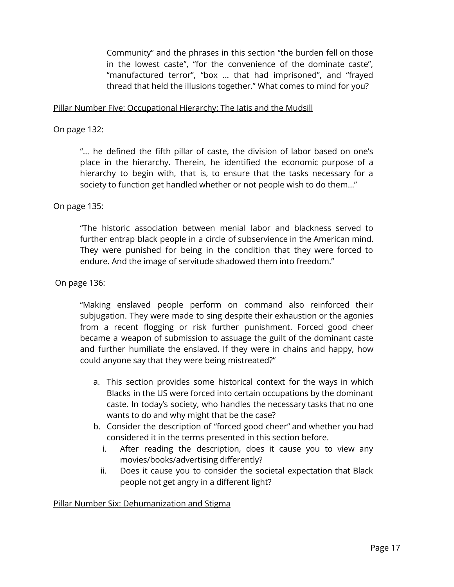Community" and the phrases in this section "the burden fell on those in the lowest caste", "for the convenience of the dominate caste", "manufactured terror", "box ... that had imprisoned", and "frayed thread that held the illusions together." What comes to mind for you?

#### Pillar Number Five: Occupational Hierarchy: The Jatis and the Mudsill

On page 132:

"... he defined the fifth pillar of caste, the division of labor based on one's place in the hierarchy. Therein, he identified the economic purpose of a hierarchy to begin with, that is, to ensure that the tasks necessary for a society to function get handled whether or not people wish to do them…"

On page 135:

"The historic association between menial labor and blackness served to further entrap black people in a circle of subservience in the American mind. They were punished for being in the condition that they were forced to endure. And the image of servitude shadowed them into freedom."

On page 136:

"Making enslaved people perform on command also reinforced their subjugation. They were made to sing despite their exhaustion or the agonies from a recent flogging or risk further punishment. Forced good cheer became a weapon of submission to assuage the guilt of the dominant caste and further humiliate the enslaved. If they were in chains and happy, how could anyone say that they were being mistreated?"

- a. This section provides some historical context for the ways in which Blacks in the US were forced into certain occupations by the dominant caste. In today's society, who handles the necessary tasks that no one wants to do and why might that be the case?
- b. Consider the description of "forced good cheer" and whether you had considered it in the terms presented in this section before.
	- i. After reading the description, does it cause you to view any movies/books/advertising differently?
	- ii. Does it cause you to consider the societal expectation that Black people not get angry in a different light?

Pillar Number Six: Dehumanization and Stigma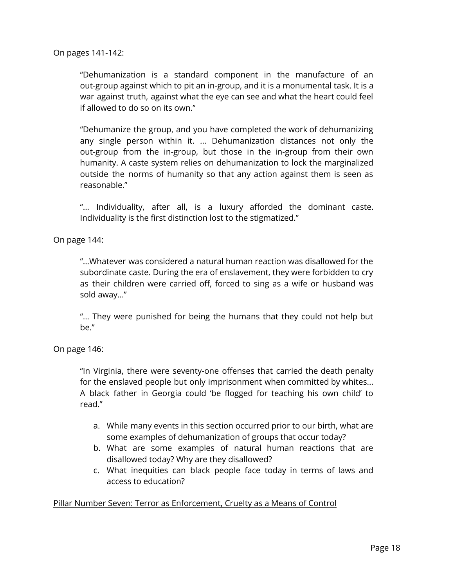On pages 141-142:

"Dehumanization is a standard component in the manufacture of an out-group against which to pit an in-group, and it is a monumental task. It is a war against truth, against what the eye can see and what the heart could feel if allowed to do so on its own."

"Dehumanize the group, and you have completed the work of dehumanizing any single person within it. ... Dehumanization distances not only the out-group from the in-group, but those in the in-group from their own humanity. A caste system relies on dehumanization to lock the marginalized outside the norms of humanity so that any action against them is seen as reasonable."

"... Individuality, after all, is a luxury afforded the dominant caste. Individuality is the first distinction lost to the stigmatized."

On page 144:

"...Whatever was considered a natural human reaction was disallowed for the subordinate caste. During the era of enslavement, they were forbidden to cry as their children were carried off, forced to sing as a wife or husband was sold away..."

"... They were punished for being the humans that they could not help but be."

On page 146:

"In Virginia, there were seventy-one offenses that carried the death penalty for the enslaved people but only imprisonment when committed by whites... A black father in Georgia could 'be flogged for teaching his own child' to read."

- a. While many events in this section occurred prior to our birth, what are some examples of dehumanization of groups that occur today?
- b. What are some examples of natural human reactions that are disallowed today? Why are they disallowed?
- c. What inequities can black people face today in terms of laws and access to education?

#### Pillar Number Seven: Terror as Enforcement, Cruelty as a Means of Control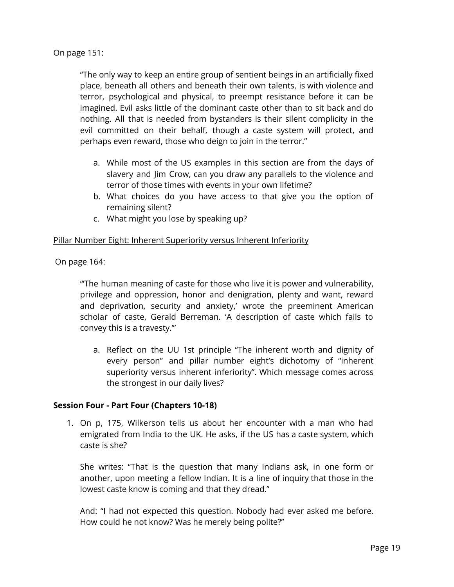On page 151:

"The only way to keep an entire group of sentient beings in an artificially fixed place, beneath all others and beneath their own talents, is with violence and terror, psychological and physical, to preempt resistance before it can be imagined. Evil asks little of the dominant caste other than to sit back and do nothing. All that is needed from bystanders is their silent complicity in the evil committed on their behalf, though a caste system will protect, and perhaps even reward, those who deign to join in the terror."

- a. While most of the US examples in this section are from the days of slavery and Jim Crow, can you draw any parallels to the violence and terror of those times with events in your own lifetime?
- b. What choices do you have access to that give you the option of remaining silent?
- c. What might you lose by speaking up?

#### Pillar Number Eight: Inherent Superiority versus Inherent Inferiority

On page 164:

"'The human meaning of caste for those who live it is power and vulnerability, privilege and oppression, honor and denigration, plenty and want, reward and deprivation, security and anxiety,' wrote the preeminent American scholar of caste, Gerald Berreman. 'A description of caste which fails to convey this is a travesty.'"

a. Reflect on the UU 1st principle "The inherent worth and dignity of every person" and pillar number eight's dichotomy of "inherent superiority versus inherent inferiority". Which message comes across the strongest in our daily lives?

#### <span id="page-18-0"></span>**Session Four - Part Four (Chapters 10-18)**

1. On p, 175, Wilkerson tells us about her encounter with a man who had emigrated from India to the UK. He asks, if the US has a caste system, which caste is she?

She writes: "That is the question that many Indians ask, in one form or another, upon meeting a fellow Indian. It is a line of inquiry that those in the lowest caste know is coming and that they dread."

And: "I had not expected this question. Nobody had ever asked me before. How could he not know? Was he merely being polite?"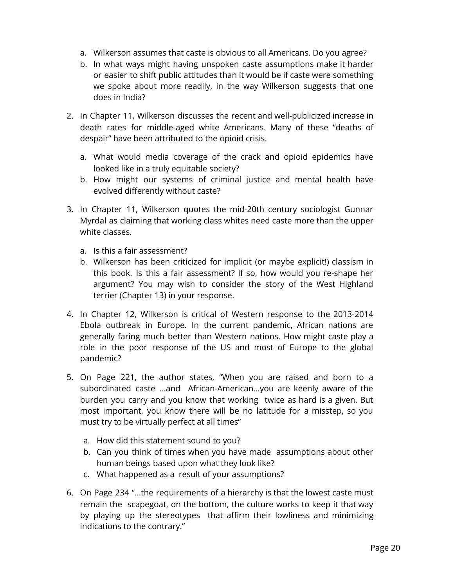- a. Wilkerson assumes that caste is obvious to all Americans. Do you agree?
- b. In what ways might having unspoken caste assumptions make it harder or easier to shift public attitudes than it would be if caste were something we spoke about more readily, in the way Wilkerson suggests that one does in India?
- 2. In Chapter 11, Wilkerson discusses the recent and well-publicized increase in death rates for middle-aged white Americans. Many of these "deaths of despair" have been attributed to the opioid crisis.
	- a. What would media coverage of the crack and opioid epidemics have looked like in a truly equitable society?
	- b. How might our systems of criminal justice and mental health have evolved differently without caste?
- 3. In Chapter 11, Wilkerson quotes the mid-20th century sociologist Gunnar Myrdal as claiming that working class whites need caste more than the upper white classes.
	- a. Is this a fair assessment?
	- b. Wilkerson has been criticized for implicit (or maybe explicit!) classism in this book. Is this a fair assessment? If so, how would you re-shape her argument? You may wish to consider the story of the West Highland terrier (Chapter 13) in your response.
- 4. In Chapter 12, Wilkerson is critical of Western response to the 2013-2014 Ebola outbreak in Europe. In the current pandemic, African nations are generally faring much better than Western nations. How might caste play a role in the poor response of the US and most of Europe to the global pandemic?
- 5. On Page 221, the author states, "When you are raised and born to a subordinated caste …and African-American…you are keenly aware of the burden you carry and you know that working twice as hard is a given. But most important, you know there will be no latitude for a misstep, so you must try to be virtually perfect at all times"
	- a. How did this statement sound to you?
	- b. Can you think of times when you have made assumptions about other human beings based upon what they look like?
	- c. What happened as a result of your assumptions?
- 6. On Page 234 "…the requirements of a hierarchy is that the lowest caste must remain the scapegoat, on the bottom, the culture works to keep it that way by playing up the stereotypes that affirm their lowliness and minimizing indications to the contrary."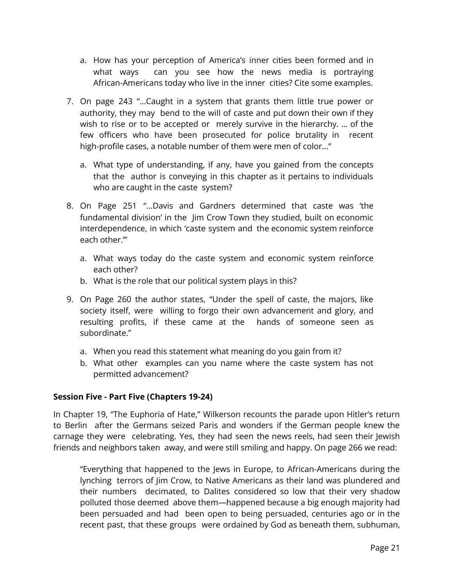- a. How has your perception of America's inner cities been formed and in what ways can you see how the news media is portraying African-Americans today who live in the inner cities? Cite some examples.
- 7. On page 243 "…Caught in a system that grants them little true power or authority, they may bend to the will of caste and put down their own if they wish to rise or to be accepted or merely survive in the hierarchy. … of the few officers who have been prosecuted for police brutality in recent high-profile cases, a notable number of them were men of color…"
	- a. What type of understanding, if any, have you gained from the concepts that the author is conveying in this chapter as it pertains to individuals who are caught in the caste system?
- 8. On Page 251 "…Davis and Gardners determined that caste was 'the fundamental division' in the Jim Crow Town they studied, built on economic interdependence, in which 'caste system and the economic system reinforce each other.'"
	- a. What ways today do the caste system and economic system reinforce each other?
	- b. What is the role that our political system plays in this?
- 9. On Page 260 the author states, "Under the spell of caste, the majors, like society itself, were willing to forgo their own advancement and glory, and resulting profits, if these came at the hands of someone seen as subordinate."
	- a. When you read this statement what meaning do you gain from it?
	- b. What other examples can you name where the caste system has not permitted advancement?

#### <span id="page-20-0"></span>**Session Five - Part Five (Chapters 19-24)**

In Chapter 19, "The Euphoria of Hate," Wilkerson recounts the parade upon Hitler's return to Berlin after the Germans seized Paris and wonders if the German people knew the carnage they were celebrating. Yes, they had seen the news reels, had seen their Jewish friends and neighbors taken away, and were still smiling and happy. On page 266 we read:

"Everything that happened to the Jews in Europe, to African-Americans during the lynching terrors of Jim Crow, to Native Americans as their land was plundered and their numbers decimated, to Dalites considered so low that their very shadow polluted those deemed above them—happened because a big enough majority had been persuaded and had been open to being persuaded, centuries ago or in the recent past, that these groups were ordained by God as beneath them, subhuman,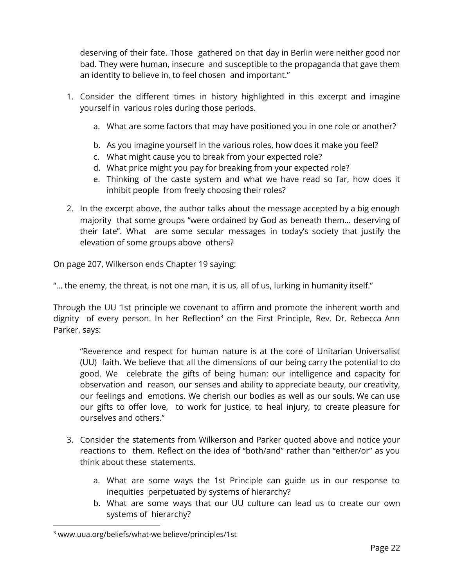deserving of their fate. Those gathered on that day in Berlin were neither good nor bad. They were human, insecure and susceptible to the propaganda that gave them an identity to believe in, to feel chosen and important."

- 1. Consider the different times in history highlighted in this excerpt and imagine yourself in various roles during those periods.
	- a. What are some factors that may have positioned you in one role or another?
	- b. As you imagine yourself in the various roles, how does it make you feel?
	- c. What might cause you to break from your expected role?
	- d. What price might you pay for breaking from your expected role?
	- e. Thinking of the caste system and what we have read so far, how does it inhibit people from freely choosing their roles?
- 2. In the excerpt above, the author talks about the message accepted by a big enough majority that some groups "were ordained by God as beneath them… deserving of their fate". What are some secular messages in today's society that justify the elevation of some groups above others?

On page 207, Wilkerson ends Chapter 19 saying:

"… the enemy, the threat, is not one man, it is us, all of us, lurking in humanity itself."

Through the UU 1st principle we covenant to affirm and promote the inherent worth and dignity of every person. In her Reflection<sup>3</sup> on the First Principle, Rev. Dr. Rebecca Ann Parker, says:

"Reverence and respect for human nature is at the core of Unitarian Universalist (UU) faith. We believe that all the dimensions of our being carry the potential to do good. We celebrate the gifts of being human: our intelligence and capacity for observation and reason, our senses and ability to appreciate beauty, our creativity, our feelings and emotions. We cherish our bodies as well as our souls. We can use our gifts to offer love, to work for justice, to heal injury, to create pleasure for ourselves and others."

- 3. Consider the statements from Wilkerson and Parker quoted above and notice your reactions to them. Reflect on the idea of "both/and" rather than "either/or" as you think about these statements.
	- a. What are some ways the 1st Principle can guide us in our response to inequities perpetuated by systems of hierarchy?
	- b. What are some ways that our UU culture can lead us to create our own systems of hierarchy?

<sup>3</sup> www.uua.org/beliefs/what-we believe/principles/1st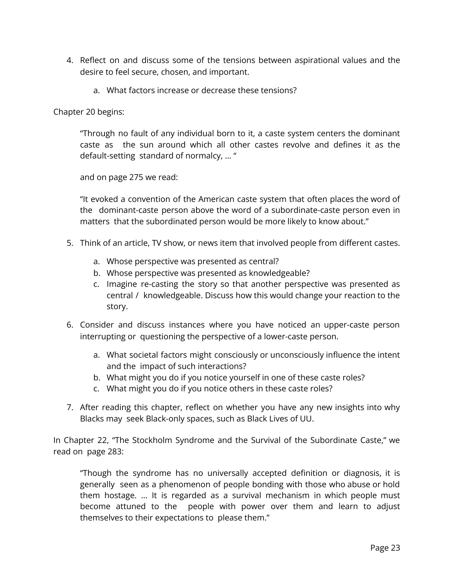- 4. Reflect on and discuss some of the tensions between aspirational values and the desire to feel secure, chosen, and important.
	- a. What factors increase or decrease these tensions?

Chapter 20 begins:

"Through no fault of any individual born to it, a caste system centers the dominant caste as the sun around which all other castes revolve and defines it as the default-setting standard of normalcy, … "

and on page 275 we read:

"It evoked a convention of the American caste system that often places the word of the dominant-caste person above the word of a subordinate-caste person even in matters that the subordinated person would be more likely to know about."

- 5. Think of an article, TV show, or news item that involved people from different castes.
	- a. Whose perspective was presented as central?
	- b. Whose perspective was presented as knowledgeable?
	- c. Imagine re-casting the story so that another perspective was presented as central / knowledgeable. Discuss how this would change your reaction to the story.
- 6. Consider and discuss instances where you have noticed an upper-caste person interrupting or questioning the perspective of a lower-caste person.
	- a. What societal factors might consciously or unconsciously influence the intent and the impact of such interactions?
	- b. What might you do if you notice yourself in one of these caste roles?
	- c. What might you do if you notice others in these caste roles?
- 7. After reading this chapter, reflect on whether you have any new insights into why Blacks may seek Black-only spaces, such as Black Lives of UU.

In Chapter 22, "The Stockholm Syndrome and the Survival of the Subordinate Caste," we read on page 283:

"Though the syndrome has no universally accepted definition or diagnosis, it is generally seen as a phenomenon of people bonding with those who abuse or hold them hostage. … It is regarded as a survival mechanism in which people must become attuned to the people with power over them and learn to adjust themselves to their expectations to please them."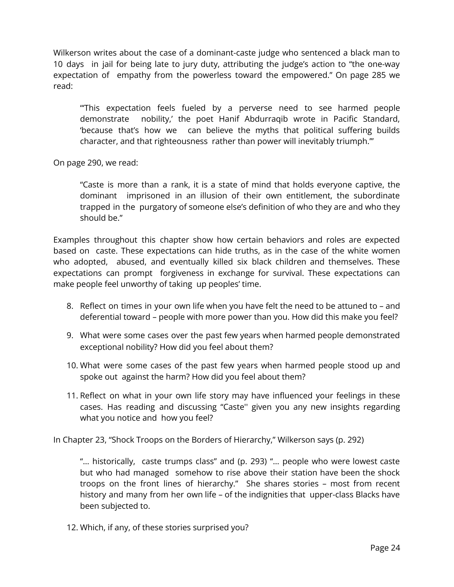Wilkerson writes about the case of a dominant-caste judge who sentenced a black man to 10 days in jail for being late to jury duty, attributing the judge's action to "the one-way expectation of empathy from the powerless toward the empowered." On page 285 we read:

"'This expectation feels fueled by a perverse need to see harmed people demonstrate nobility,' the poet Hanif Abdurraqib wrote in Pacific Standard, 'because that's how we can believe the myths that political suffering builds character, and that righteousness rather than power will inevitably triumph.'"

On page 290, we read:

"Caste is more than a rank, it is a state of mind that holds everyone captive, the dominant imprisoned in an illusion of their own entitlement, the subordinate trapped in the purgatory of someone else's definition of who they are and who they should be."

Examples throughout this chapter show how certain behaviors and roles are expected based on caste. These expectations can hide truths, as in the case of the white women who adopted, abused, and eventually killed six black children and themselves. These expectations can prompt forgiveness in exchange for survival. These expectations can make people feel unworthy of taking up peoples' time.

- 8. Reflect on times in your own life when you have felt the need to be attuned to and deferential toward – people with more power than you. How did this make you feel?
- 9. What were some cases over the past few years when harmed people demonstrated exceptional nobility? How did you feel about them?
- 10. What were some cases of the past few years when harmed people stood up and spoke out against the harm? How did you feel about them?
- 11. Reflect on what in your own life story may have influenced your feelings in these cases. Has reading and discussing "Caste'' given you any new insights regarding what you notice and how you feel?

In Chapter 23, "Shock Troops on the Borders of Hierarchy," Wilkerson says (p. 292)

"… historically, caste trumps class" and (p. 293) "… people who were lowest caste but who had managed somehow to rise above their station have been the shock troops on the front lines of hierarchy." She shares stories – most from recent history and many from her own life – of the indignities that upper-class Blacks have been subjected to.

12. Which, if any, of these stories surprised you?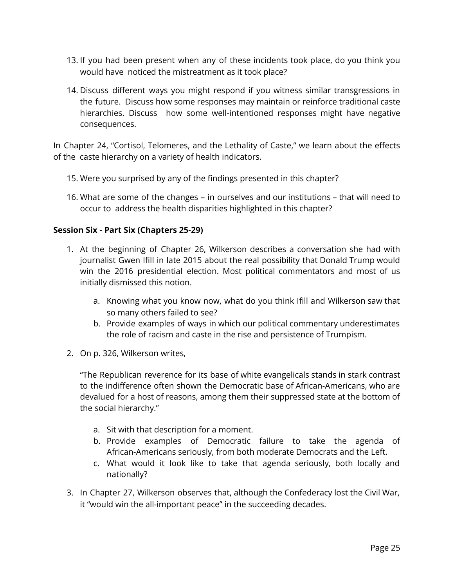- 13. If you had been present when any of these incidents took place, do you think you would have noticed the mistreatment as it took place?
- 14. Discuss different ways you might respond if you witness similar transgressions in the future. Discuss how some responses may maintain or reinforce traditional caste hierarchies. Discuss how some well-intentioned responses might have negative consequences.

In Chapter 24, "Cortisol, Telomeres, and the Lethality of Caste," we learn about the effects of the caste hierarchy on a variety of health indicators.

- 15. Were you surprised by any of the findings presented in this chapter?
- 16. What are some of the changes in ourselves and our institutions that will need to occur to address the health disparities highlighted in this chapter?

#### <span id="page-24-0"></span>**Session Six - Part Six (Chapters 25-29)**

- 1. At the beginning of Chapter 26, Wilkerson describes a conversation she had with journalist Gwen Ifill in late 2015 about the real possibility that Donald Trump would win the 2016 presidential election. Most political commentators and most of us initially dismissed this notion.
	- a. Knowing what you know now, what do you think Ifill and Wilkerson saw that so many others failed to see?
	- b. Provide examples of ways in which our political commentary underestimates the role of racism and caste in the rise and persistence of Trumpism.
- 2. On p. 326, Wilkerson writes,

"The Republican reverence for its base of white evangelicals stands in stark contrast to the indifference often shown the Democratic base of African-Americans, who are devalued for a host of reasons, among them their suppressed state at the bottom of the social hierarchy."

- a. Sit with that description for a moment.
- b. Provide examples of Democratic failure to take the agenda of African-Americans seriously, from both moderate Democrats and the Left.
- c. What would it look like to take that agenda seriously, both locally and nationally?
- 3. In Chapter 27, Wilkerson observes that, although the Confederacy lost the Civil War, it "would win the all-important peace" in the succeeding decades.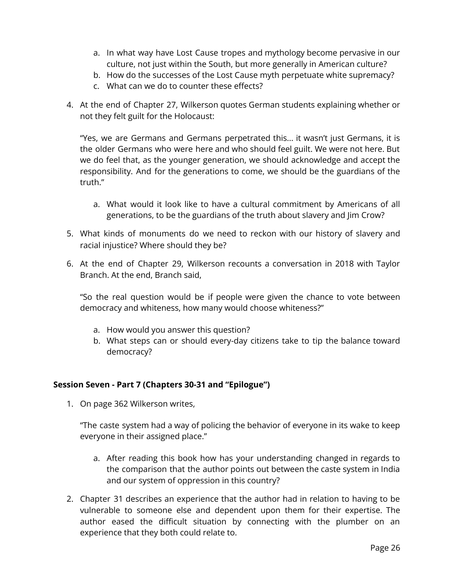- a. In what way have Lost Cause tropes and mythology become pervasive in our culture, not just within the South, but more generally in American culture?
- b. How do the successes of the Lost Cause myth perpetuate white supremacy?
- c. What can we do to counter these effects?
- 4. At the end of Chapter 27, Wilkerson quotes German students explaining whether or not they felt guilt for the Holocaust:

"Yes, we are Germans and Germans perpetrated this... it wasn't just Germans, it is the older Germans who were here and who should feel guilt. We were not here. But we do feel that, as the younger generation, we should acknowledge and accept the responsibility. And for the generations to come, we should be the guardians of the truth."

- a. What would it look like to have a cultural commitment by Americans of all generations, to be the guardians of the truth about slavery and Jim Crow?
- 5. What kinds of monuments do we need to reckon with our history of slavery and racial injustice? Where should they be?
- 6. At the end of Chapter 29, Wilkerson recounts a conversation in 2018 with Taylor Branch. At the end, Branch said,

"So the real question would be if people were given the chance to vote between democracy and whiteness, how many would choose whiteness?"

- a. How would you answer this question?
- b. What steps can or should every-day citizens take to tip the balance toward democracy?

#### <span id="page-25-0"></span>**Session Seven - Part 7 (Chapters 30-31 and "Epilogue")**

1. On page 362 Wilkerson writes,

"The caste system had a way of policing the behavior of everyone in its wake to keep everyone in their assigned place."

- a. After reading this book how has your understanding changed in regards to the comparison that the author points out between the caste system in India and our system of oppression in this country?
- 2. Chapter 31 describes an experience that the author had in relation to having to be vulnerable to someone else and dependent upon them for their expertise. The author eased the difficult situation by connecting with the plumber on an experience that they both could relate to.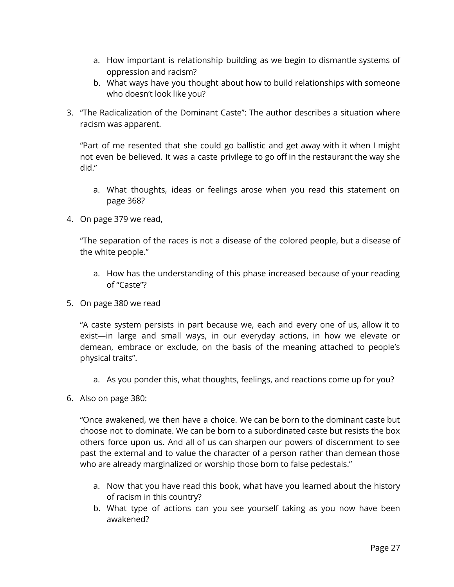- a. How important is relationship building as we begin to dismantle systems of oppression and racism?
- b. What ways have you thought about how to build relationships with someone who doesn't look like you?
- 3. "The Radicalization of the Dominant Caste": The author describes a situation where racism was apparent.

"Part of me resented that she could go ballistic and get away with it when I might not even be believed. It was a caste privilege to go off in the restaurant the way she did."

- a. What thoughts, ideas or feelings arose when you read this statement on page 368?
- 4. On page 379 we read,

"The separation of the races is not a disease of the colored people, but a disease of the white people."

- a. How has the understanding of this phase increased because of your reading of "Caste"?
- 5. On page 380 we read

"A caste system persists in part because we, each and every one of us, allow it to exist—in large and small ways, in our everyday actions, in how we elevate or demean, embrace or exclude, on the basis of the meaning attached to people's physical traits".

- a. As you ponder this, what thoughts, feelings, and reactions come up for you?
- 6. Also on page 380:

"Once awakened, we then have a choice. We can be born to the dominant caste but choose not to dominate. We can be born to a subordinated caste but resists the box others force upon us. And all of us can sharpen our powers of discernment to see past the external and to value the character of a person rather than demean those who are already marginalized or worship those born to false pedestals."

- a. Now that you have read this book, what have you learned about the history of racism in this country?
- b. What type of actions can you see yourself taking as you now have been awakened?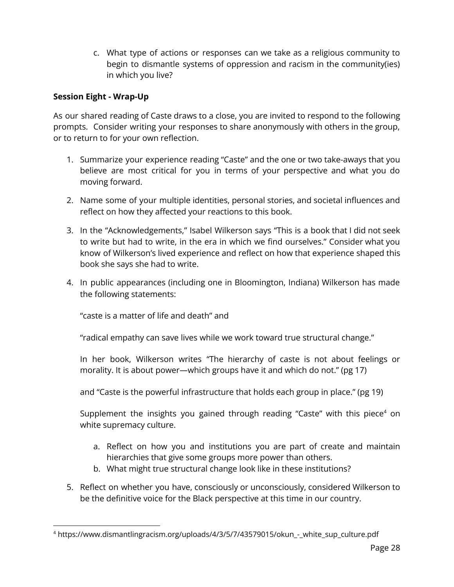c. What type of actions or responses can we take as a religious community to begin to dismantle systems of oppression and racism in the community(ies) in which you live?

#### <span id="page-27-0"></span>**Session Eight - Wrap-Up**

As our shared reading of Caste draws to a close, you are invited to respond to the following prompts. Consider writing your responses to share anonymously with others in the group, or to return to for your own reflection.

- 1. Summarize your experience reading "Caste" and the one or two take-aways that you believe are most critical for you in terms of your perspective and what you do moving forward.
- 2. Name some of your multiple identities, personal stories, and societal influences and reflect on how they affected your reactions to this book.
- 3. In the "Acknowledgements," Isabel Wilkerson says "This is a book that I did not seek to write but had to write, in the era in which we find ourselves." Consider what you know of Wilkerson's lived experience and reflect on how that experience shaped this book she says she had to write.
- 4. In public appearances (including one in Bloomington, Indiana) Wilkerson has made the following statements:

"caste is a matter of life and death" and

"radical empathy can save lives while we work toward true structural change."

In her book, Wilkerson writes "The hierarchy of caste is not about feelings or morality. It is about power—which groups have it and which do not." (pg 17)

and "Caste is the powerful infrastructure that holds each group in place." (pg 19)

Supplement the insights you gained through reading "Caste" with this piece $4$  on white supremacy culture.

- a. Reflect on how you and institutions you are part of create and maintain hierarchies that give some groups more power than others.
- b. What might true structural change look like in these institutions?
- 5. Reflect on whether you have, consciously or unconsciously, considered Wilkerson to be the definitive voice for the Black perspective at this time in our country.

<sup>&</sup>lt;sup>4</sup> https://www.dismantlingracism.org/uploads/4/3/5/7/43579015/okun - white\_sup\_culture.pdf